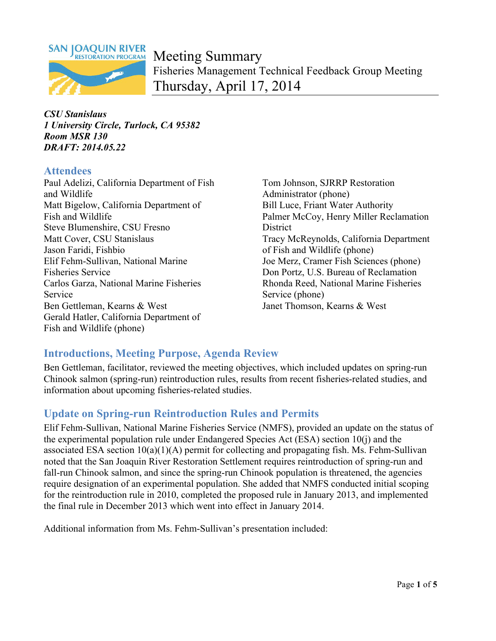

Meeting Summary Fisheries Management Technical Feedback Group Meeting Thursday, April 17, 2014

*CSU Stanislaus 1 University Circle, Turlock, CA 95382 Room MSR 130 DRAFT: 2014.05.22* 

### **Attendees**

Paul Adelizi, California Department of Fish Tom Johnson, SJRRP Restoration and Wildlife **Administrator** (phone) Matt Bigelow, California Department of Bill Luce, Friant Water Authority Fish and Wildlife Palmer McCoy, Henry Miller Reclamation Steve Blumenshire, CSU Fresno District Matt Cover, CSU Stanislaus Tracy McReynolds, California Department Jason Faridi, Fishbio of Fish and Wildlife (phone) Elif Fehm-Sullivan, National Marine Joe Merz, Cramer Fish Sciences (phone) Fisheries Service Don Portz, U.S. Bureau of Reclamation Carlos Garza, National Marine Fisheries Rhonda Reed, National Marine Fisheries Service Service (phone) Ben Gettleman, Kearns & West Janet Thomson, Kearns & West Gerald Hatler, California Department of Fish and Wildlife (phone)

# **Introductions, Meeting Purpose, Agenda Review**

Ben Gettleman, facilitator, reviewed the meeting objectives, which included updates on spring-run Chinook salmon (spring-run) reintroduction rules, results from recent fisheries-related studies, and information about upcoming fisheries-related studies.

# **Update on Spring-run Reintroduction Rules and Permits**

Elif Fehm-Sullivan, National Marine Fisheries Service (NMFS), provided an update on the status of the experimental population rule under Endangered Species Act (ESA) section 10(j) and the associated ESA section  $10(a)(1)(A)$  permit for collecting and propagating fish. Ms. Fehm-Sullivan noted that the San Joaquin River Restoration Settlement requires reintroduction of spring-run and fall-run Chinook salmon, and since the spring-run Chinook population is threatened, the agencies require designation of an experimental population. She added that NMFS conducted initial scoping for the reintroduction rule in 2010, completed the proposed rule in January 2013, and implemented the final rule in December 2013 which went into effect in January 2014.

Additional information from Ms. Fehm-Sullivan's presentation included: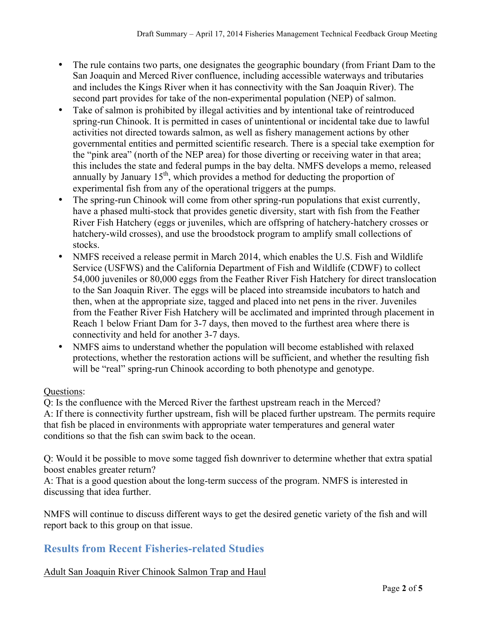- The rule contains two parts, one designates the geographic boundary (from Friant Dam to the San Joaquin and Merced River confluence, including accessible waterways and tributaries and includes the Kings River when it has connectivity with the San Joaquin River). The second part provides for take of the non-experimental population (NEP) of salmon.
- Take of salmon is prohibited by illegal activities and by intentional take of reintroduced spring-run Chinook. It is permitted in cases of unintentional or incidental take due to lawful activities not directed towards salmon, as well as fishery management actions by other governmental entities and permitted scientific research. There is a special take exemption for the "pink area" (north of the NEP area) for those diverting or receiving water in that area; this includes the state and federal pumps in the bay delta. NMFS develops a memo, released annually by January  $15<sup>th</sup>$ , which provides a method for deducting the proportion of experimental fish from any of the operational triggers at the pumps.
- The spring-run Chinook will come from other spring-run populations that exist currently, have a phased multi-stock that provides genetic diversity, start with fish from the Feather River Fish Hatchery (eggs or juveniles, which are offspring of hatchery-hatchery crosses or hatchery-wild crosses), and use the broodstock program to amplify small collections of stocks.
- NMFS received a release permit in March 2014, which enables the U.S. Fish and Wildlife Service (USFWS) and the California Department of Fish and Wildlife (CDWF) to collect 54,000 juveniles or 80,000 eggs from the Feather River Fish Hatchery for direct translocation to the San Joaquin River. The eggs will be placed into streamside incubators to hatch and then, when at the appropriate size, tagged and placed into net pens in the river. Juveniles from the Feather River Fish Hatchery will be acclimated and imprinted through placement in Reach 1 below Friant Dam for 3-7 days, then moved to the furthest area where there is connectivity and held for another 3-7 days.
- NMFS aims to understand whether the population will become established with relaxed protections, whether the restoration actions will be sufficient, and whether the resulting fish will be "real" spring-run Chinook according to both phenotype and genotype.

#### Questions:

Q: Is the confluence with the Merced River the farthest upstream reach in the Merced? A: If there is connectivity further upstream, fish will be placed further upstream. The permits require that fish be placed in environments with appropriate water temperatures and general water conditions so that the fish can swim back to the ocean.

Q: Would it be possible to move some tagged fish downriver to determine whether that extra spatial boost enables greater return?

A: That is a good question about the long-term success of the program. NMFS is interested in discussing that idea further.

NMFS will continue to discuss different ways to get the desired genetic variety of the fish and will report back to this group on that issue.

# **Results from Recent Fisheries-related Studies**

Adult San Joaquin River Chinook Salmon Trap and Haul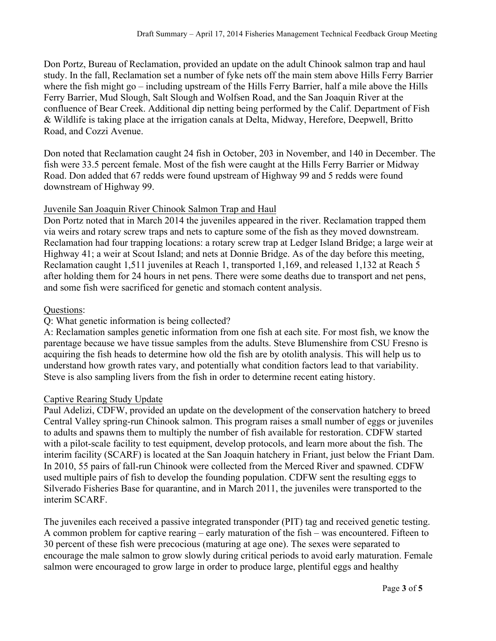Don Portz, Bureau of Reclamation, provided an update on the adult Chinook salmon trap and haul study. In the fall, Reclamation set a number of fyke nets off the main stem above Hills Ferry Barrier where the fish might go – including upstream of the Hills Ferry Barrier, half a mile above the Hills Ferry Barrier, Mud Slough, Salt Slough and Wolfsen Road, and the San Joaquin River at the confluence of Bear Creek. Additional dip netting being performed by the Calif. Department of Fish & Wildlife is taking place at the irrigation canals at Delta, Midway, Herefore, Deepwell, Britto Road, and Cozzi Avenue.

Don noted that Reclamation caught 24 fish in October, 203 in November, and 140 in December. The fish were 33.5 percent female. Most of the fish were caught at the Hills Ferry Barrier or Midway Road. Don added that 67 redds were found upstream of Highway 99 and 5 redds were found downstream of Highway 99.

#### Juvenile San Joaquin River Chinook Salmon Trap and Haul

Don Portz noted that in March 2014 the juveniles appeared in the river. Reclamation trapped them via weirs and rotary screw traps and nets to capture some of the fish as they moved downstream. Reclamation had four trapping locations: a rotary screw trap at Ledger Island Bridge; a large weir at Highway 41; a weir at Scout Island; and nets at Donnie Bridge. As of the day before this meeting, Reclamation caught 1,511 juveniles at Reach 1, transported 1,169, and released 1,132 at Reach 5 after holding them for 24 hours in net pens. There were some deaths due to transport and net pens, and some fish were sacrificed for genetic and stomach content analysis.

#### Questions:

#### Q: What genetic information is being collected?

A: Reclamation samples genetic information from one fish at each site. For most fish, we know the parentage because we have tissue samples from the adults. Steve Blumenshire from CSU Fresno is acquiring the fish heads to determine how old the fish are by otolith analysis. This will help us to understand how growth rates vary, and potentially what condition factors lead to that variability. Steve is also sampling livers from the fish in order to determine recent eating history.

#### Captive Rearing Study Update

Paul Adelizi, CDFW, provided an update on the development of the conservation hatchery to breed Central Valley spring-run Chinook salmon. This program raises a small number of eggs or juveniles to adults and spawns them to multiply the number of fish available for restoration. CDFW started with a pilot-scale facility to test equipment, develop protocols, and learn more about the fish. The interim facility (SCARF) is located at the San Joaquin hatchery in Friant, just below the Friant Dam. In 2010, 55 pairs of fall-run Chinook were collected from the Merced River and spawned. CDFW used multiple pairs of fish to develop the founding population. CDFW sent the resulting eggs to Silverado Fisheries Base for quarantine, and in March 2011, the juveniles were transported to the interim SCARF.

The juveniles each received a passive integrated transponder (PIT) tag and received genetic testing. A common problem for captive rearing – early maturation of the fish – was encountered. Fifteen to 30 percent of these fish were precocious (maturing at age one). The sexes were separated to encourage the male salmon to grow slowly during critical periods to avoid early maturation. Female salmon were encouraged to grow large in order to produce large, plentiful eggs and healthy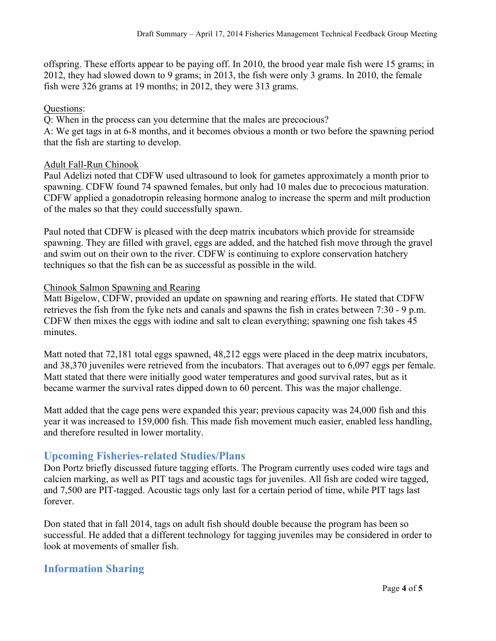offspring. These efforts appear to be paying off. In 2010, the brood year male fish were 15 grams; in 2012, they had slowed down to 9 grams; in 2013, the fish were only 3 grams. In 2010, the female fish were 326 grams at 19 months; in 2012, they were 313 grams.

#### Questions:

Q: When in the process can you determine that the males are precocious?

A: We get tags in at 6-8 months, and it becomes obvious a month or two before the spawning period that the fish are starting to develop.

#### Adult Fall-Run Chinook

Paul Adelizi noted that CDFW used ultrasound to look for gametes approximately a month prior to spawning. CDFW found 74 spawned females, but only had 10 males due to precocious maturation. CDFW applied a gonadotropin releasing hormone analog to increase the sperm and milt production of the males so that they could successfully spawn.

Paul noted that CDFW is pleased with the deep matrix incubators which provide for streamside spawning. They are filled with gravel, eggs are added, and the hatched fish move through the gravel and swim out on their own to the river. CDFW is continuing to explore conservation hatchery techniques so that the fish can be as successful as possible in the wild.

#### Chinook Salmon Spawning and Rearing

Matt Bigelow, CDFW, provided an update on spawning and rearing efforts. He stated that CDFW retrieves the fish from the fyke nets and canals and spawns the fish in crates between 7:30 - 9 p.m. CDFW then mixes the eggs with iodine and salt to clean everything; spawning one fish takes 45 minutes.

Matt noted that 72,181 total eggs spawned, 48,212 eggs were placed in the deep matrix incubators, and 38,370 juveniles were retrieved from the incubators. That averages out to 6,097 eggs per female. Matt stated that there were initially good water temperatures and good survival rates, but as it became warmer the survival rates dipped down to 60 percent. This was the major challenge.

Matt added that the cage pens were expanded this year; previous capacity was 24,000 fish and this year it was increased to 159,000 fish. This made fish movement much easier, enabled less handling, and therefore resulted in lower mortality.

### **Upcoming Fisheries-related Studies/Plans**

Don Portz briefly discussed future tagging efforts. The Program currently uses coded wire tags and calcien marking, as well as PIT tags and acoustic tags for juveniles. All fish are coded wire tagged, and 7,500 are PIT-tagged. Acoustic tags only last for a certain period of time, while PIT tags last forever.

Don stated that in fall 2014, tags on adult fish should double because the program has been so successful. He added that a different technology for tagging juveniles may be considered in order to look at movements of smaller fish.

# **Information Sharing**